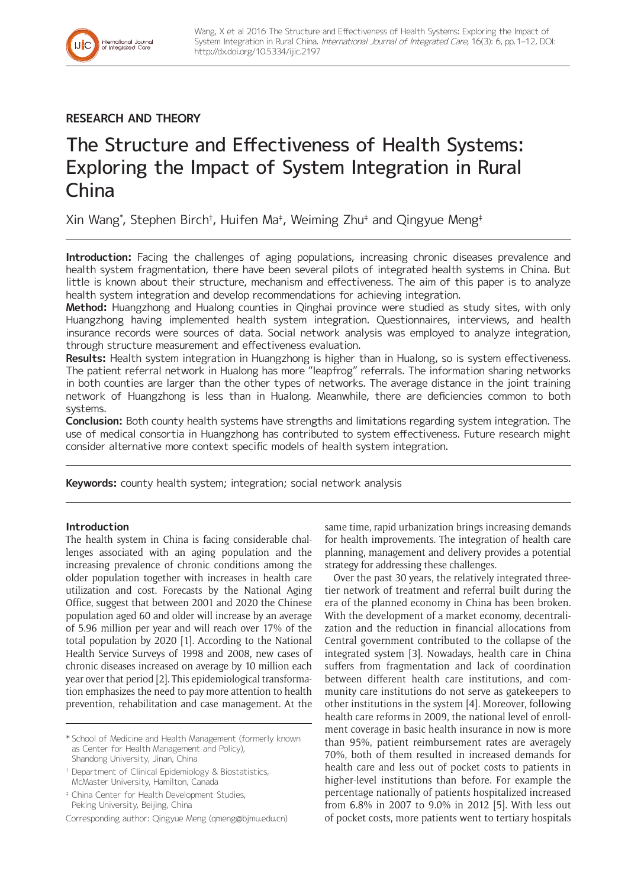# **RESEARCH AND THEORY**

International Journal<br>of Integrated Care

# The Structure and Effectiveness of Health Systems: Exploring the Impact of System Integration in Rural China

Xin Wang\* , Stephen Birch† , Huifen Ma‡ , Weiming Zhu‡ and Qingyue Meng‡

**Introduction:** Facing the challenges of aging populations, increasing chronic diseases prevalence and health system fragmentation, there have been several pilots of integrated health systems in China. But little is known about their structure, mechanism and effectiveness. The aim of this paper is to analyze health system integration and develop recommendations for achieving integration.

**Method:** Huangzhong and Hualong counties in Qinghai province were studied as study sites, with only Huangzhong having implemented health system integration. Questionnaires, interviews, and health insurance records were sources of data. Social network analysis was employed to analyze integration, through structure measurement and effectiveness evaluation.

**Results:** Health system integration in Huangzhong is higher than in Hualong, so is system effectiveness. The patient referral network in Hualong has more "leapfrog" referrals. The information sharing networks in both counties are larger than the other types of networks. The average distance in the joint training network of Huangzhong is less than in Hualong. Meanwhile, there are deficiencies common to both systems.

**Conclusion:** Both county health systems have strengths and limitations regarding system integration. The use of medical consortia in Huangzhong has contributed to system effectiveness. Future research might consider alternative more context specific models of health system integration.

**Keywords:** county health system; integration; social network analysis

# **Introduction**

The health system in China is facing considerable challenges associated with an aging population and the increasing prevalence of chronic conditions among the older population together with increases in health care utilization and cost. Forecasts by the National Aging Office, suggest that between 2001 and 2020 the Chinese population aged 60 and older will increase by an average of 5.96 million per year and will reach over 17% of the total population by 2020 [1]. According to the National Health Service Surveys of 1998 and 2008, new cases of chronic diseases increased on average by 10 million each year over that period [2]. This epidemiological transformation emphasizes the need to pay more attention to health prevention, rehabilitation and case management. At the

\* School of Medicine and Health Management (formerly known as Center for Health Management and Policy), Shandong University, Jinan, China

† Department of Clinical Epidemiology & Biostatistics, McMaster University, Hamilton, Canada

‡ China Center for Health Development Studies, Peking University, Beijing, China

Corresponding author: Qingyue Meng [\(qmeng@bjmu.edu.cn](mailto:qmeng@bjmu.edu.cn))

same time, rapid urbanization brings increasing demands for health improvements. The integration of health care planning, management and delivery provides a potential strategy for addressing these challenges.

Over the past 30 years, the relatively integrated threetier network of treatment and referral built during the era of the planned economy in China has been broken. With the development of a market economy, decentralization and the reduction in financial allocations from Central government contributed to the collapse of the integrated system [3]. Nowadays, health care in China suffers from fragmentation and lack of coordination between different health care institutions, and community care institutions do not serve as gatekeepers to other institutions in the system [4]. Moreover, following health care reforms in 2009, the national level of enrollment coverage in basic health insurance in now is more than 95%, patient reimbursement rates are averagely 70%, both of them resulted in increased demands for health care and less out of pocket costs to patients in higher-level institutions than before. For example the percentage nationally of patients hospitalized increased from 6.8% in 2007 to 9.0% in 2012 [5]. With less out of pocket costs, more patients went to tertiary hospitals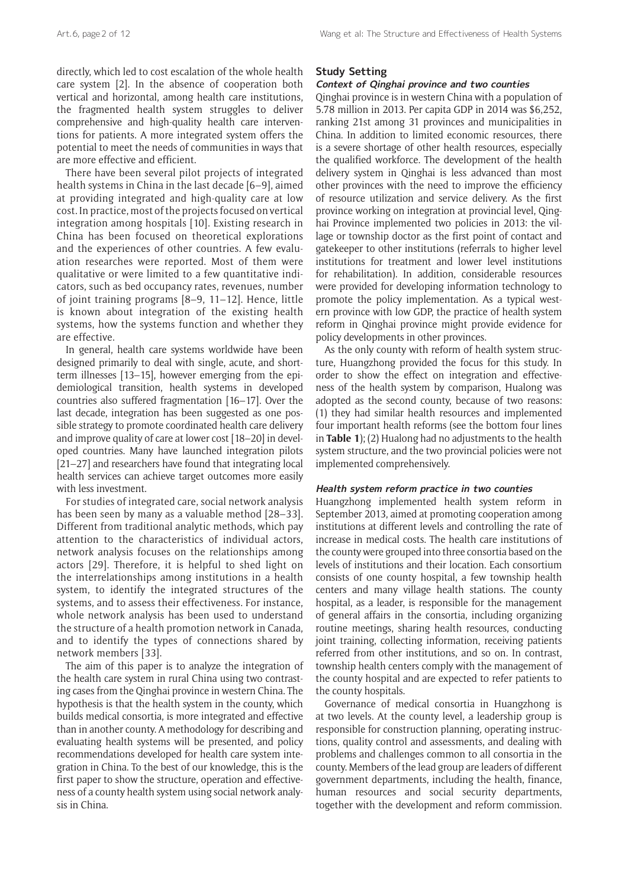directly, which led to cost escalation of the whole health care system [2]. In the absence of cooperation both vertical and horizontal, among health care institutions, the fragmented health system struggles to deliver comprehensive and high-quality health care interventions for patients. A more integrated system offers the potential to meet the needs of communities in ways that are more effective and efficient.

There have been several pilot projects of integrated health systems in China in the last decade [6–9], aimed at providing integrated and high-quality care at low cost. In practice, most of the projects focused on vertical integration among hospitals [10]. Existing research in China has been focused on theoretical explorations and the experiences of other countries. A few evaluation researches were reported. Most of them were qualitative or were limited to a few quantitative indicators, such as bed occupancy rates, revenues, number of joint training programs [8–9, 11–12]. Hence, little is known about integration of the existing health systems, how the systems function and whether they are effective.

In general, health care systems worldwide have been designed primarily to deal with single, acute, and shortterm illnesses [13–15], however emerging from the epidemiological transition, health systems in developed countries also suffered fragmentation [16–17]. Over the last decade, integration has been suggested as one possible strategy to promote coordinated health care delivery and improve quality of care at lower cost [18–20] in developed countries. Many have launched integration pilots [21–27] and researchers have found that integrating local health services can achieve target outcomes more easily with less investment.

For studies of integrated care, social network analysis has been seen by many as a valuable method [28–33]. Different from traditional analytic methods, which pay attention to the characteristics of individual actors, network analysis focuses on the relationships among actors [29]. Therefore, it is helpful to shed light on the interrelationships among institutions in a health system, to identify the integrated structures of the systems, and to assess their effectiveness. For instance, whole network analysis has been used to understand the structure of a health promotion network in Canada, and to identify the types of connections shared by network members [33].

The aim of this paper is to analyze the integration of the health care system in rural China using two contrasting cases from the Qinghai province in western China. The hypothesis is that the health system in the county, which builds medical consortia, is more integrated and effective than in another county. A methodology for describing and evaluating health systems will be presented, and policy recommendations developed for health care system integration in China. To the best of our knowledge, this is the first paper to show the structure, operation and effectiveness of a county health system using social network analysis in China.

# **Study Setting**

# **Context of Qinghai province and two counties**

Qinghai province is in western China with a population of 5.78 million in 2013. Per capita GDP in 2014 was \$6,252, ranking 21st among 31 provinces and municipalities in China. In addition to limited economic resources, there is a severe shortage of other health resources, especially the qualified workforce. The development of the health delivery system in Qinghai is less advanced than most other provinces with the need to improve the efficiency of resource utilization and service delivery. As the first province working on integration at provincial level, Qinghai Province implemented two policies in 2013: the village or township doctor as the first point of contact and gatekeeper to other institutions (referrals to higher level institutions for treatment and lower level institutions for rehabilitation). In addition, considerable resources were provided for developing information technology to promote the policy implementation. As a typical western province with low GDP, the practice of health system reform in Qinghai province might provide evidence for policy developments in other provinces.

As the only county with reform of health system structure, Huangzhong provided the focus for this study. In order to show the effect on integration and effectiveness of the health system by comparison, Hualong was adopted as the second county, because of two reasons: (1) they had similar health resources and implemented four important health reforms (see the bottom four lines in **Table 1**); (2) Hualong had no adjustments to the health system structure, and the two provincial policies were not implemented comprehensively.

#### **Health system reform practice in two counties**

Huangzhong implemented health system reform in September 2013, aimed at promoting cooperation among institutions at different levels and controlling the rate of increase in medical costs. The health care institutions of the county were grouped into three consortia based on the levels of institutions and their location. Each consortium consists of one county hospital, a few township health centers and many village health stations. The county hospital, as a leader, is responsible for the management of general affairs in the consortia, including organizing routine meetings, sharing health resources, conducting joint training, collecting information, receiving patients referred from other institutions, and so on. In contrast, township health centers comply with the management of the county hospital and are expected to refer patients to the county hospitals.

Governance of medical consortia in Huangzhong is at two levels. At the county level, a leadership group is responsible for construction planning, operating instructions, quality control and assessments, and dealing with problems and challenges common to all consortia in the county. Members of the lead group are leaders of different government departments, including the health, finance, human resources and social security departments, together with the development and reform commission.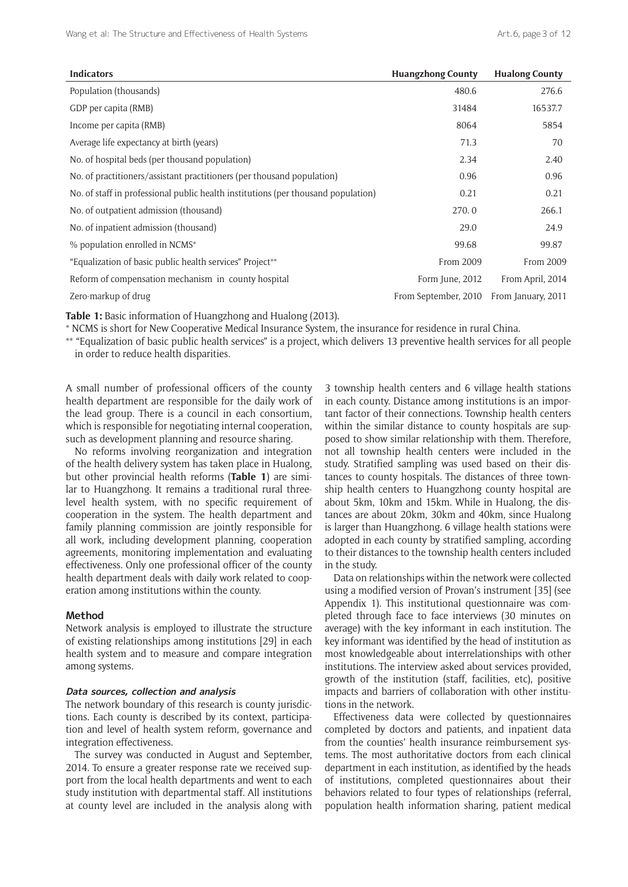| <b>Indicators</b>                                                                 | <b>Huangzhong County</b> | <b>Hualong County</b> |
|-----------------------------------------------------------------------------------|--------------------------|-----------------------|
| Population (thousands)                                                            | 480.6                    | 276.6                 |
| GDP per capita (RMB)                                                              | 31484                    | 16537.7               |
| Income per capita (RMB)                                                           | 8064                     | 5854                  |
| Average life expectancy at birth (years)                                          | 71.3                     | 70                    |
| No. of hospital beds (per thousand population)                                    | 2.34                     | 2.40                  |
| No. of practitioners/assistant practitioners (per thousand population)            | 0.96                     | 0.96                  |
| No. of staff in professional public health institutions (per thousand population) | 0.21                     | 0.21                  |
| No. of outpatient admission (thousand)                                            | 270.0                    | 266.1                 |
| No. of inpatient admission (thousand)                                             | 29.0                     | 24.9                  |
| % population enrolled in NCMS*                                                    | 99.68                    | 99.87                 |
| "Equalization of basic public health services" Project**                          | From 2009                | From 2009             |
| Reform of compensation mechanism in county hospital                               | Form June, 2012          | From April, 2014      |
| Zero-markup of drug                                                               | From September, 2010     | From January, 2011    |

**Table 1:** Basic information of Huangzhong and Hualong (2013).

\* NCMS is short for New Cooperative Medical Insurance System, the insurance for residence in rural China.

\*\* "Equalization of basic public health services" is a project, which delivers 13 preventive health services for all people in order to reduce health disparities.

A small number of professional officers of the county health department are responsible for the daily work of the lead group. There is a council in each consortium, which is responsible for negotiating internal cooperation, such as development planning and resource sharing.

No reforms involving reorganization and integration of the health delivery system has taken place in Hualong, but other provincial health reforms (**Table 1**) are similar to Huangzhong. It remains a traditional rural threelevel health system, with no specific requirement of cooperation in the system. The health department and family planning commission are jointly responsible for all work, including development planning, cooperation agreements, monitoring implementation and evaluating effectiveness. Only one professional officer of the county health department deals with daily work related to cooperation among institutions within the county.

# **Method**

Network analysis is employed to illustrate the structure of existing relationships among institutions [29] in each health system and to measure and compare integration among systems.

#### **Data sources, collection and analysis**

The network boundary of this research is county jurisdictions. Each county is described by its context, participation and level of health system reform, governance and integration effectiveness.

The survey was conducted in August and September, 2014. To ensure a greater response rate we received support from the local health departments and went to each study institution with departmental staff. All institutions at county level are included in the analysis along with

3 township health centers and 6 village health stations in each county. Distance among institutions is an important factor of their connections. Township health centers within the similar distance to county hospitals are supposed to show similar relationship with them. Therefore, not all township health centers were included in the study. Stratified sampling was used based on their distances to county hospitals. The distances of three township health centers to Huangzhong county hospital are about 5km, 10km and 15km. While in Hualong, the distances are about 20km, 30km and 40km, since Hualong is larger than Huangzhong. 6 village health stations were adopted in each county by stratified sampling, according to their distances to the township health centers included in the study.

Data on relationships within the network were collected using a modified version of Provan's instrument [35] (see Appendix 1). This institutional questionnaire was completed through face to face interviews (30 minutes on average) with the key informant in each institution. The key informant was identified by the head of institution as most knowledgeable about interrelationships with other institutions. The interview asked about services provided, growth of the institution (staff, facilities, etc), positive impacts and barriers of collaboration with other institutions in the network.

Effectiveness data were collected by questionnaires completed by doctors and patients, and inpatient data from the counties' health insurance reimbursement systems. The most authoritative doctors from each clinical department in each institution, as identified by the heads of institutions, completed questionnaires about their behaviors related to four types of relationships (referral, population health information sharing, patient medical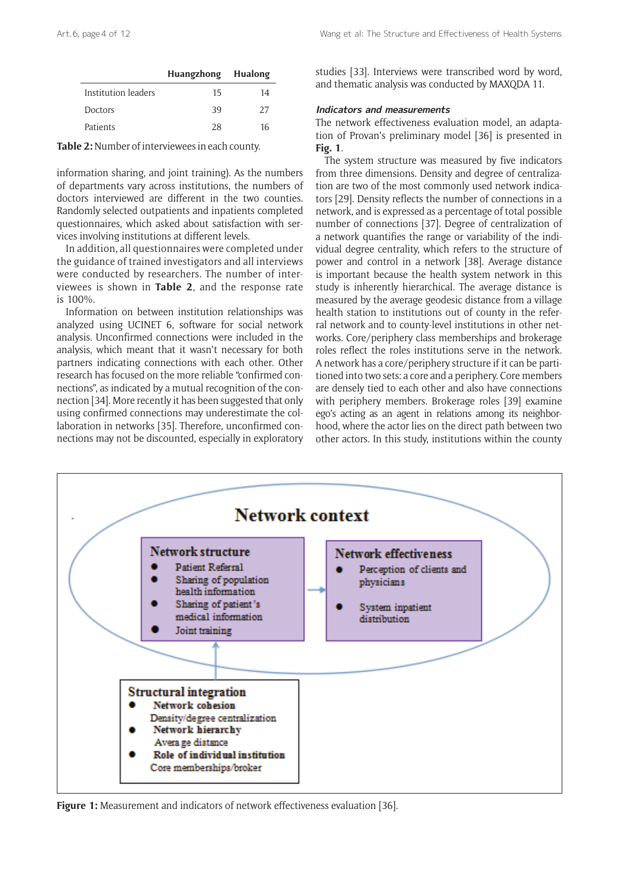|                     | Huangzhong Hualong |    |
|---------------------|--------------------|----|
| Institution leaders | 15                 | 14 |
| <b>Doctors</b>      | 39                 | 27 |
| Patients            | 28                 | 16 |

**Table 2:** Number of interviewees in each county.

information sharing, and joint training). As the numbers of departments vary across institutions, the numbers of doctors interviewed are different in the two counties. Randomly selected outpatients and inpatients completed questionnaires, which asked about satisfaction with services involving institutions at different levels.

In addition, all questionnaires were completed under the guidance of trained investigators and all interviews were conducted by researchers. The number of interviewees is shown in **Table 2**, and the response rate is 100%.

Information on between institution relationships was analyzed using UCINET 6, software for social network analysis. Unconfirmed connections were included in the analysis, which meant that it wasn't necessary for both partners indicating connections with each other. Other research has focused on the more reliable "confirmed connections", as indicated by a mutual recognition of the connection [34]. More recently it has been suggested that only using confirmed connections may underestimate the collaboration in networks [35]. Therefore, unconfirmed connections may not be discounted, especially in exploratory studies [33]. Interviews were transcribed word by word, and thematic analysis was conducted by MAXQDA 11.

# **Indicators and measurements**

The network effectiveness evaluation model, an adaptation of Provan's preliminary model [36] is presented in **Fig. 1**.

The system structure was measured by five indicators from three dimensions. Density and degree of centralization are two of the most commonly used network indicators [29]. Density reflects the number of connections in a network, and is expressed as a percentage of total possible number of connections [37]. Degree of centralization of a network quantifies the range or variability of the individual degree centrality, which refers to the structure of power and control in a network [38]. Average distance is important because the health system network in this study is inherently hierarchical. The average distance is measured by the average geodesic distance from a village health station to institutions out of county in the referral network and to county-level institutions in other networks. Core/periphery class memberships and brokerage roles reflect the roles institutions serve in the network. A network has a core/periphery structure if it can be partitioned into two sets: a core and a periphery. Core members are densely tied to each other and also have connections with periphery members. Brokerage roles [39] examine ego's acting as an agent in relations among its neighborhood, where the actor lies on the direct path between two other actors. In this study, institutions within the county



**Figure 1:** Measurement and indicators of network effectiveness evaluation [36].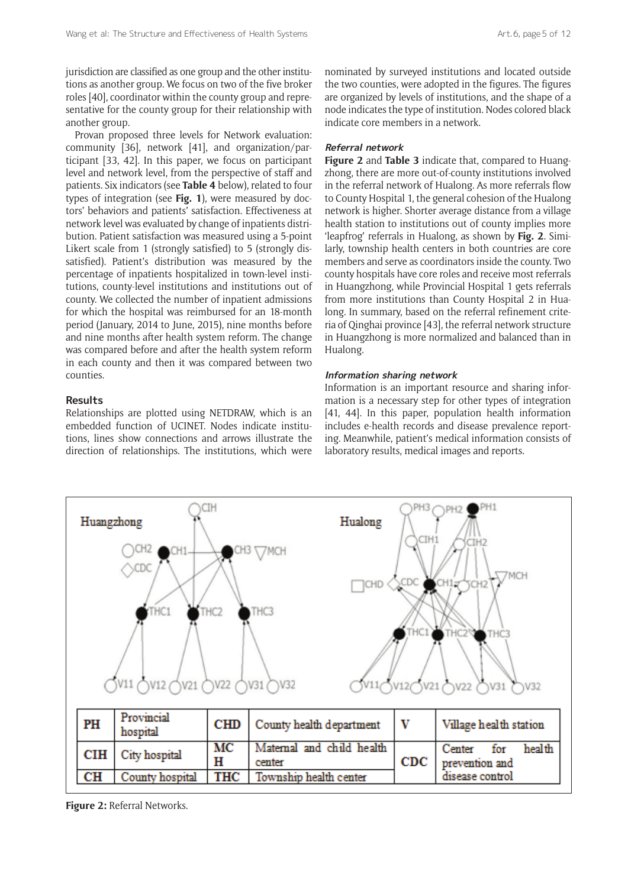jurisdiction are classified as one group and the other institutions as another group. We focus on two of the five broker roles [40], coordinator within the county group and representative for the county group for their relationship with another group.

Provan proposed three levels for Network evaluation: community [36], network [41], and organization/participant [33, 42]. In this paper, we focus on participant level and network level, from the perspective of staff and patients. Six indicators (see **Table 4** below), related to four types of integration (see **Fig. 1**), were measured by doctors' behaviors and patients' satisfaction. Effectiveness at network level was evaluated by change of inpatients distribution. Patient satisfaction was measured using a 5-point Likert scale from 1 (strongly satisfied) to 5 (strongly dissatisfied). Patient's distribution was measured by the percentage of inpatients hospitalized in town-level institutions, county-level institutions and institutions out of county. We collected the number of inpatient admissions for which the hospital was reimbursed for an 18-month period (January, 2014 to June, 2015), nine months before and nine months after health system reform. The change was compared before and after the health system reform in each county and then it was compared between two counties.

## **Results**

Relationships are plotted using NETDRAW, which is an embedded function of UCINET. Nodes indicate institutions, lines show connections and arrows illustrate the direction of relationships. The institutions, which were nominated by surveyed institutions and located outside the two counties, were adopted in the figures. The figures are organized by levels of institutions, and the shape of a node indicates the type of institution. Nodes colored black indicate core members in a network.

# **Referral network**

**Figure 2** and **Table 3** indicate that, compared to Huangzhong, there are more out-of-county institutions involved in the referral network of Hualong. As more referrals flow to County Hospital 1, the general cohesion of the Hualong network is higher. Shorter average distance from a village health station to institutions out of county implies more 'leapfrog' referrals in Hualong, as shown by **Fig. 2**. Similarly, township health centers in both countries are core members and serve as coordinators inside the county. Two county hospitals have core roles and receive most referrals in Huangzhong, while Provincial Hospital 1 gets referrals from more institutions than County Hospital 2 in Hualong. In summary, based on the referral refinement criteria of Qinghai province [43], the referral network structure in Huangzhong is more normalized and balanced than in Hualong.

#### **Information sharing network**

Information is an important resource and sharing information is a necessary step for other types of integration [41, 44]. In this paper, population health information includes e-health records and disease prevalence reporting. Meanwhile, patient's medical information consists of laboratory results, medical images and reports.



**Figure 2:** Referral Networks.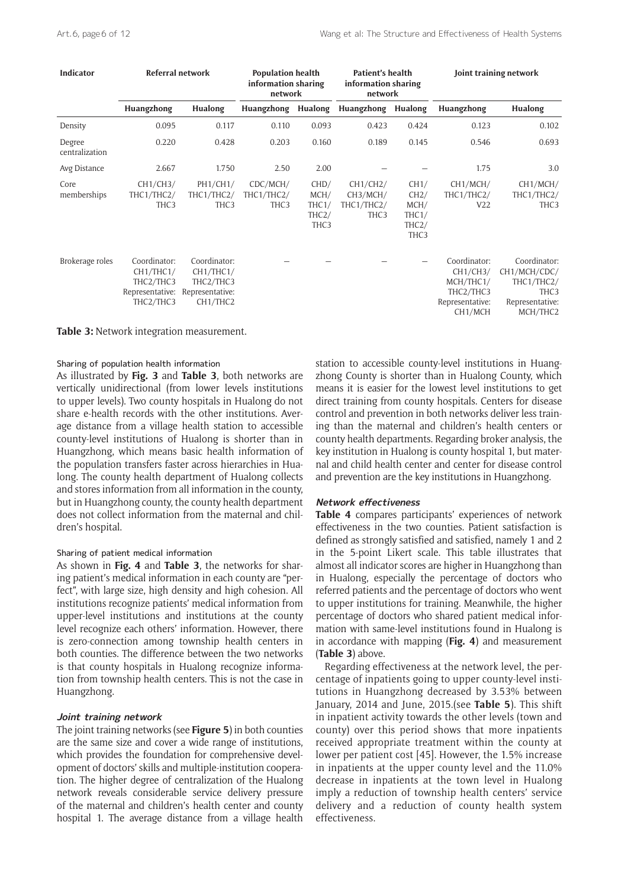| <b>Indicator</b>         | Referral network                                                       |                                                                                                | <b>Population health</b><br>information sharing<br>network |                                                                 | Patient's health<br>information sharing<br>network     |                                                                         | Joint training network                                                           |                                                                                               |
|--------------------------|------------------------------------------------------------------------|------------------------------------------------------------------------------------------------|------------------------------------------------------------|-----------------------------------------------------------------|--------------------------------------------------------|-------------------------------------------------------------------------|----------------------------------------------------------------------------------|-----------------------------------------------------------------------------------------------|
|                          | Huangzhong                                                             | Hualong                                                                                        | Huangzhong                                                 | Hualong                                                         | Huangzhong                                             | Hualong                                                                 | Huangzhong                                                                       | Hualong                                                                                       |
| Density                  | 0.095                                                                  | 0.117                                                                                          | 0.110                                                      | 0.093                                                           | 0.423                                                  | 0.424                                                                   | 0.123                                                                            | 0.102                                                                                         |
| Degree<br>centralization | 0.220                                                                  | 0.428                                                                                          | 0.203                                                      | 0.160                                                           | 0.189                                                  | 0.145                                                                   | 0.546                                                                            | 0.693                                                                                         |
| Avg Distance             | 2.667                                                                  | 1.750                                                                                          | 2.50                                                       | 2.00                                                            |                                                        |                                                                         | 1.75                                                                             | 3.0                                                                                           |
| Core<br>memberships      | CH1/CH3/<br>THC1/THC2/<br>THC <sub>3</sub>                             | PH1/CH1/<br>THC1/THC2/<br>THC <sub>3</sub>                                                     | CDC/MCH/<br>THC1/THC2/<br>THC3                             | CHD/<br>MCH/<br>THC1/<br>THC <sub>2</sub> /<br>THC <sub>3</sub> | CH1/CH2/<br>CH3/MCH/<br>THC1/THC2/<br>THC <sub>3</sub> | CH1/<br>CH2/<br>MCH/<br>THC1/<br>THC <sub>2</sub> /<br>THC <sub>3</sub> | CH <sub>1</sub> /MCH/<br>THC1/THC2/<br>V22                                       | CH1/MCH/<br>THC1/THC2/<br>THC <sub>3</sub>                                                    |
| Brokerage roles          | Coordinator:<br>CH1/THC1/<br>THC2/THC3<br>Representative:<br>THC2/THC3 | Coordinator:<br>CH1/THC1/<br>THC2/THC3<br>Representative:<br>CH <sub>1</sub> /THC <sub>2</sub> |                                                            |                                                                 |                                                        |                                                                         | Coordinator:<br>CH1/CH3/<br>MCH/THC1/<br>THC2/THC3<br>Representative:<br>CH1/MCH | Coordinator:<br>CH1/MCH/CDC/<br>THC1/THC2/<br>THC <sub>3</sub><br>Representative:<br>MCH/THC2 |

**Table 3:** Network integration measurement.

#### Sharing of population health information

As illustrated by **Fig. 3** and **Table 3**, both networks are vertically unidirectional (from lower levels institutions to upper levels). Two county hospitals in Hualong do not share e-health records with the other institutions. Average distance from a village health station to accessible county-level institutions of Hualong is shorter than in Huangzhong, which means basic health information of the population transfers faster across hierarchies in Hualong. The county health department of Hualong collects and stores information from all information in the county, but in Huangzhong county, the county health department does not collect information from the maternal and children's hospital.

#### Sharing of patient medical information

As shown in **Fig. 4** and **Table 3**, the networks for sharing patient's medical information in each county are "perfect", with large size, high density and high cohesion. All institutions recognize patients' medical information from upper-level institutions and institutions at the county level recognize each others' information. However, there is zero-connection among township health centers in both counties. The difference between the two networks is that county hospitals in Hualong recognize information from township health centers. This is not the case in Huangzhong.

#### **Joint training network**

The joint training networks (see **Figure 5**) in both counties are the same size and cover a wide range of institutions, which provides the foundation for comprehensive development of doctors' skills and multiple-institution cooperation. The higher degree of centralization of the Hualong network reveals considerable service delivery pressure of the maternal and children's health center and county hospital 1. The average distance from a village health

station to accessible county-level institutions in Huangzhong County is shorter than in Hualong County, which means it is easier for the lowest level institutions to get direct training from county hospitals. Centers for disease control and prevention in both networks deliver less training than the maternal and children's health centers or county health departments. Regarding broker analysis, the key institution in Hualong is county hospital 1, but maternal and child health center and center for disease control and prevention are the key institutions in Huangzhong.

#### **Network effectiveness**

**Table 4** compares participants' experiences of network effectiveness in the two counties. Patient satisfaction is defined as strongly satisfied and satisfied, namely 1 and 2 in the 5-point Likert scale. This table illustrates that almost all indicator scores are higher in Huangzhong than in Hualong, especially the percentage of doctors who referred patients and the percentage of doctors who went to upper institutions for training. Meanwhile, the higher percentage of doctors who shared patient medical information with same-level institutions found in Hualong is in accordance with mapping (**Fig. 4**) and measurement (**Table 3**) above.

Regarding effectiveness at the network level, the percentage of inpatients going to upper county-level institutions in Huangzhong decreased by 3.53% between January, 2014 and June, 2015.(see **Table 5**). This shift in inpatient activity towards the other levels (town and county) over this period shows that more inpatients received appropriate treatment within the county at lower per patient cost [45]. However, the 1.5% increase in inpatients at the upper county level and the 11.0% decrease in inpatients at the town level in Hualong imply a reduction of township health centers' service delivery and a reduction of county health system effectiveness.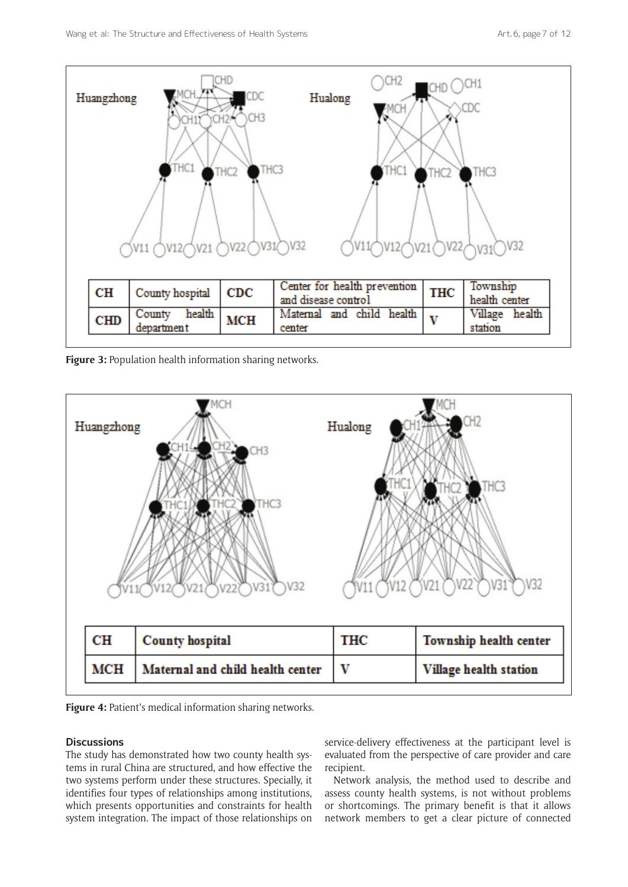

**Figure 3:** Population health information sharing networks.





#### **Discussions**

The study has demonstrated how two county health systems in rural China are structured, and how effective the two systems perform under these structures. Specially, it identifies four types of relationships among institutions, which presents opportunities and constraints for health system integration. The impact of those relationships on service-delivery effectiveness at the participant level is evaluated from the perspective of care provider and care recipient.

Network analysis, the method used to describe and assess county health systems, is not without problems or shortcomings. The primary benefit is that it allows network members to get a clear picture of connected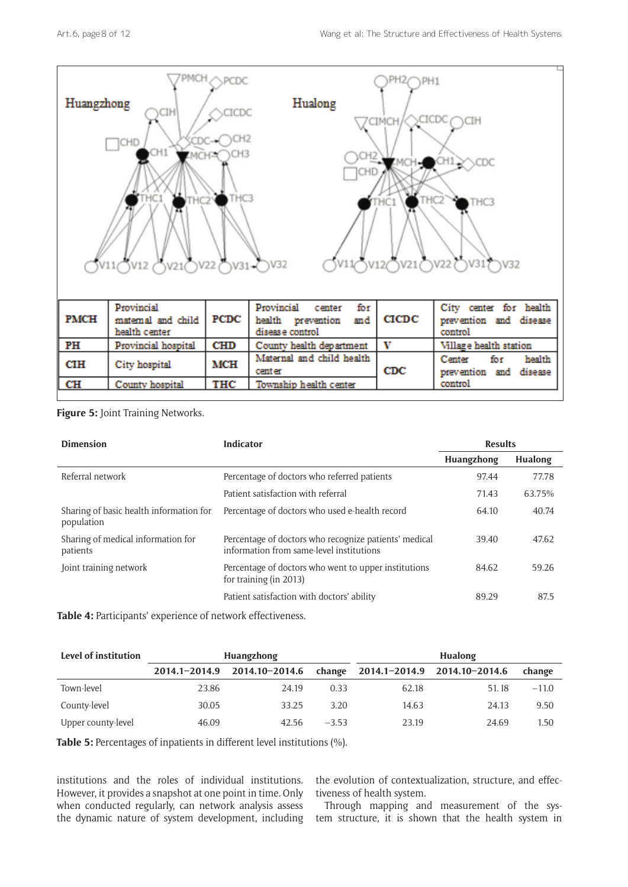

**Figure 5:** Joint Training Networks.

| <b>Dimension</b>                                      | <b>Indicator</b>                                                                                  | <b>Results</b> |         |
|-------------------------------------------------------|---------------------------------------------------------------------------------------------------|----------------|---------|
|                                                       |                                                                                                   | Huangzhong     | Hualong |
| Referral network                                      | Percentage of doctors who referred patients                                                       | 97.44          | 77.78   |
|                                                       | Patient satisfaction with referral                                                                | 71.43          | 63.75%  |
| Sharing of basic health information for<br>population | Percentage of doctors who used e-health record                                                    | 64.10          | 40.74   |
| Sharing of medical information for<br>patients        | Percentage of doctors who recognize patients' medical<br>information from same-level institutions | 39.40          | 47.62   |
| Joint training network                                | Percentage of doctors who went to upper institutions<br>for training (in 2013)                    | 84.62          | 59.26   |
|                                                       | Patient satisfaction with doctors' ability                                                        | 89.29          | 87.5    |

**Table 4:** Participants' experience of network effectiveness.

| Level of institution | Huangzhong |                              |         | Hualong |                              |         |  |
|----------------------|------------|------------------------------|---------|---------|------------------------------|---------|--|
|                      |            | 2014.1-2014.9 2014.10-2014.6 | change  |         | 2014.1-2014.9 2014.10-2014.6 | change  |  |
| Town-level           | 23.86      | 24.19                        | 0.33    | 62.18   | 51.18                        | $-11.0$ |  |
| County-level         | 30.05      | 33.25                        | 3.20    | 14.63   | 24.13                        | 9.50    |  |
| Upper county-level   | 46.09      | 42.56                        | $-3.53$ | 23.19   | 24.69                        | 1.50    |  |

**Table 5:** Percentages of inpatients in different level institutions (%).

institutions and the roles of individual institutions. However, it provides a snapshot at one point in time. Only when conducted regularly, can network analysis assess

the evolution of contextualization, structure, and effectiveness of health system.

the dynamic nature of system development, including tem structure, it is shown that the health system in Through mapping and measurement of the sys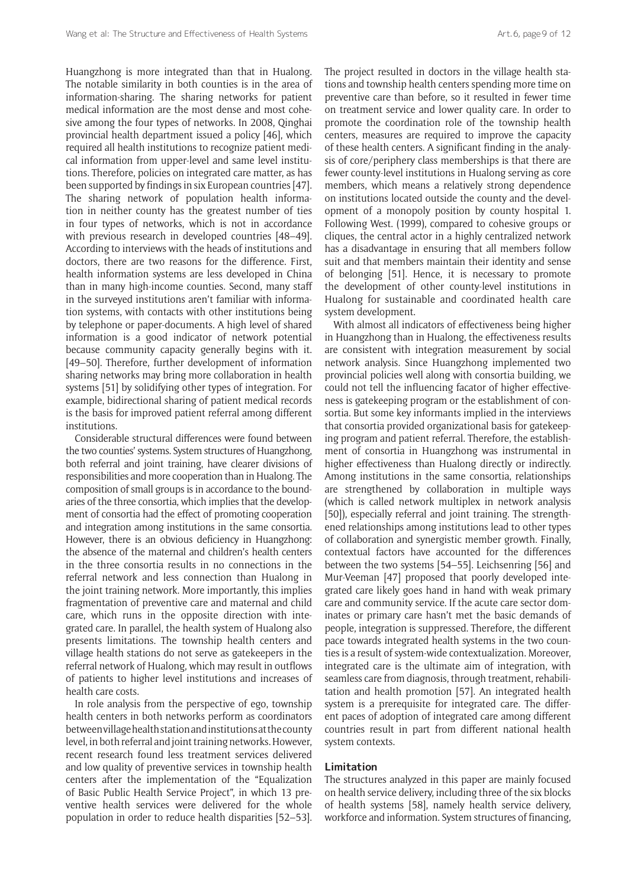Huangzhong is more integrated than that in Hualong. The notable similarity in both counties is in the area of information-sharing. The sharing networks for patient medical information are the most dense and most cohesive among the four types of networks. In 2008, Qinghai provincial health department issued a policy [46], which required all health institutions to recognize patient medical information from upper-level and same level institutions. Therefore, policies on integrated care matter, as has been supported by findings in six European countries [47]. The sharing network of population health information in neither county has the greatest number of ties in four types of networks, which is not in accordance with previous research in developed countries [48–49]. According to interviews with the heads of institutions and doctors, there are two reasons for the difference. First, health information systems are less developed in China than in many high-income counties. Second, many staff in the surveyed institutions aren't familiar with information systems, with contacts with other institutions being by telephone or paper-documents. A high level of shared information is a good indicator of network potential because community capacity generally begins with it. [49–50]. Therefore, further development of information sharing networks may bring more collaboration in health systems [51] by solidifying other types of integration. For example, bidirectional sharing of patient medical records is the basis for improved patient referral among different institutions.

Considerable structural differences were found between the two counties' systems. System structures of Huangzhong, both referral and joint training, have clearer divisions of responsibilities and more cooperation than in Hualong. The composition of small groups is in accordance to the boundaries of the three consortia, which implies that the development of consortia had the effect of promoting cooperation and integration among institutions in the same consortia. However, there is an obvious deficiency in Huangzhong: the absence of the maternal and children's health centers in the three consortia results in no connections in the referral network and less connection than Hualong in the joint training network. More importantly, this implies fragmentation of preventive care and maternal and child care, which runs in the opposite direction with integrated care. In parallel, the health system of Hualong also presents limitations. The township health centers and village health stations do not serve as gatekeepers in the referral network of Hualong, which may result in outflows of patients to higher level institutions and increases of health care costs.

In role analysis from the perspective of ego, township health centers in both networks perform as coordinators between village health station and institutions at the county level, in both referral and joint training networks. However, recent research found less treatment services delivered and low quality of preventive services in township health centers after the implementation of the "Equalization of Basic Public Health Service Project", in which 13 preventive health services were delivered for the whole population in order to reduce health disparities [52–53].

The project resulted in doctors in the village health stations and township health centers spending more time on preventive care than before, so it resulted in fewer time on treatment service and lower quality care. In order to promote the coordination role of the township health centers, measures are required to improve the capacity of these health centers. A significant finding in the analysis of core/periphery class memberships is that there are fewer county-level institutions in Hualong serving as core members, which means a relatively strong dependence on institutions located outside the county and the development of a monopoly position by county hospital 1. Following West. (1999), compared to cohesive groups or cliques, the central actor in a highly centralized network has a disadvantage in ensuring that all members follow suit and that members maintain their identity and sense of belonging [51]. Hence, it is necessary to promote the development of other county-level institutions in Hualong for sustainable and coordinated health care system development.

With almost all indicators of effectiveness being higher in Huangzhong than in Hualong, the effectiveness results are consistent with integration measurement by social network analysis. Since Huangzhong implemented two provincial policies well along with consortia building, we could not tell the influencing facator of higher effectiveness is gatekeeping program or the establishment of consortia. But some key informants implied in the interviews that consortia provided organizational basis for gatekeeping program and patient referral. Therefore, the establishment of consortia in Huangzhong was instrumental in higher effectiveness than Hualong directly or indirectly. Among institutions in the same consortia, relationships are strengthened by collaboration in multiple ways (which is called network multiplex in network analysis [50]), especially referral and joint training. The strengthened relationships among institutions lead to other types of collaboration and synergistic member growth. Finally, contextual factors have accounted for the differences between the two systems [54–55]. Leichsenring [56] and Mur-Veeman [47] proposed that poorly developed integrated care likely goes hand in hand with weak primary care and community service. If the acute care sector dominates or primary care hasn't met the basic demands of people, integration is suppressed. Therefore, the different pace towards integrated health systems in the two counties is a result of system-wide contextualization. Moreover, integrated care is the ultimate aim of integration, with seamless care from diagnosis, through treatment, rehabilitation and health promotion [57]. An integrated health system is a prerequisite for integrated care. The different paces of adoption of integrated care among different countries result in part from different national health system contexts.

#### **Limitation**

The structures analyzed in this paper are mainly focused on health service delivery, including three of the six blocks of health systems [58], namely health service delivery, workforce and information. System structures of financing,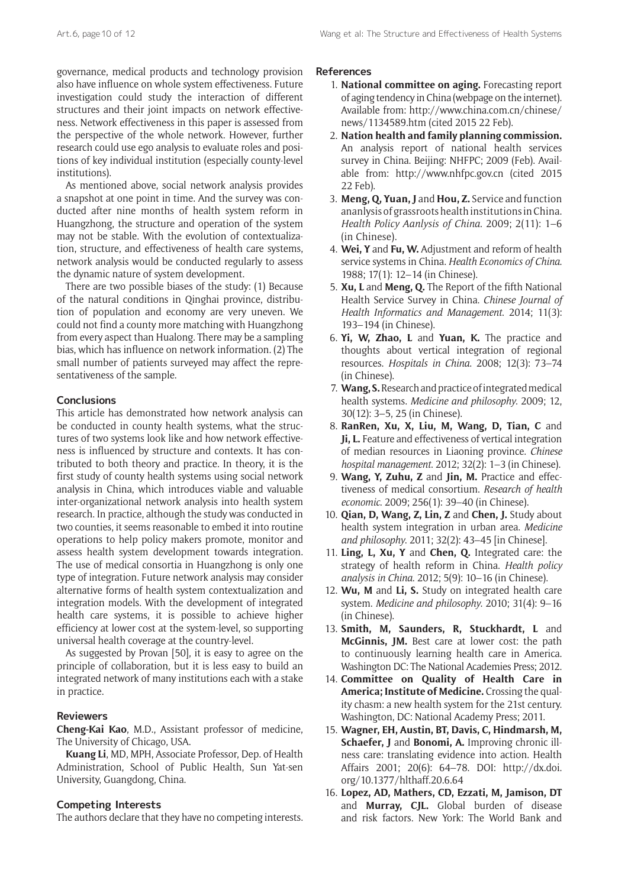governance, medical products and technology provision also have influence on whole system effectiveness. Future investigation could study the interaction of different structures and their joint impacts on network effectiveness. Network effectiveness in this paper is assessed from the perspective of the whole network. However, further research could use ego analysis to evaluate roles and positions of key individual institution (especially county-level institutions).

As mentioned above, social network analysis provides a snapshot at one point in time. And the survey was conducted after nine months of health system reform in Huangzhong, the structure and operation of the system may not be stable. With the evolution of contextualization, structure, and effectiveness of health care systems, network analysis would be conducted regularly to assess the dynamic nature of system development.

There are two possible biases of the study: (1) Because of the natural conditions in Qinghai province, distribution of population and economy are very uneven. We could not find a county more matching with Huangzhong from every aspect than Hualong. There may be a sampling bias, which has influence on network information. (2) The small number of patients surveyed may affect the representativeness of the sample.

# **Conclusions**

This article has demonstrated how network analysis can be conducted in county health systems, what the structures of two systems look like and how network effectiveness is influenced by structure and contexts. It has contributed to both theory and practice. In theory, it is the first study of county health systems using social network analysis in China, which introduces viable and valuable inter-organizational network analysis into health system research. In practice, although the study was conducted in two counties, it seems reasonable to embed it into routine operations to help policy makers promote, monitor and assess health system development towards integration. The use of medical consortia in Huangzhong is only one type of integration. Future network analysis may consider alternative forms of health system contextualization and integration models. With the development of integrated health care systems, it is possible to achieve higher efficiency at lower cost at the system-level, so supporting universal health coverage at the country-level.

As suggested by Provan [50], it is easy to agree on the principle of collaboration, but it is less easy to build an integrated network of many institutions each with a stake in practice.

# **Reviewers**

**Cheng-Kai Kao**, M.D., Assistant professor of medicine, The University of Chicago, USA.

**Kuang Li**, MD, MPH, Associate Professor, Dep. of Health Administration, School of Public Health, Sun Yat-sen University, Guangdong, China.

# **Competing Interests**

The authors declare that they have no competing interests.

#### **References**

- 1. **National committee on aging.** Forecasting report of aging tendency in China (webpage on the internet). Available from: [http://www.china.com.cn/chinese/](http://www.china.com.cn/chinese/news/1134589.htm) [news/1134589.htm](http://www.china.com.cn/chinese/news/1134589.htm) (cited 2015 22 Feb).
- 2. **Nation health and family planning commission.** An analysis report of national health services survey in China. Beijing: NHFPC; 2009 (Feb). Available from: <http://www.nhfpc.gov.cn> (cited 2015 22 Feb).
- 3. **Meng, Q, Yuan, J** and **Hou, Z.** Service and function ananlysis of grassroots health institutions in China. *Health Policy Aanlysis of China*. 2009; 2(11): 1–6 (in Chinese).
- 4. **Wei, Y** and **Fu, W.** Adjustment and reform of health service systems in China. *Health Economics of China*. 1988; 17(1): 12–14 (in Chinese).
- 5. **Xu, L** and **Meng, Q.** The Report of the fifth National Health Service Survey in China. *Chinese Journal of Health Informatics and Management*. 2014; 11(3): 193–194 (in Chinese).
- 6. **Yi, W, Zhao, L** and **Yuan, K.** The practice and thoughts about vertical integration of regional resources. *Hospitals in China*. 2008; 12(3): 73–74 (in Chinese).
- 7. **Wang, S.** Research and practice of integrated medical health systems. *Medicine and philosophy*. 2009; 12, 30(12): 3–5, 25 (in Chinese).
- 8. **RanRen, Xu, X, Liu, M, Wang, D, Tian, C** and **Ji, L.** Feature and effectiveness of vertical integration of median resources in Liaoning province. *Chinese hospital management*. 2012; 32(2): 1–3 (in Chinese).
- 9. **Wang, Y, Zuhu, Z** and **Jin, M.** Practice and effectiveness of medical consortium. *Research of health economic*. 2009; 256(1): 39–40 (in Chinese).
- 10. **Qian, D, Wang, Z, Lin, Z** and **Chen, J.** Study about health system integration in urban area. *Medicine and philosophy*. 2011; 32(2): 43–45 [in Chinese].
- 11. **Ling, L, Xu, Y** and **Chen, Q.** Integrated care: the strategy of health reform in China. *Health policy analysis in China*. 2012; 5(9): 10–16 (in Chinese).
- 12. **Wu, M** and **Li, S.** Study on integrated health care system. *Medicine and philosophy*. 2010; 31(4): 9–16 (in Chinese).
- 13. **Smith, M, Saunders, R, Stuckhardt, L** and **McGinnis, JM.** Best care at lower cost: the path to continuously learning health care in America. Washington DC: The National Academies Press; 2012.
- 14. **Committee on Quality of Health Care in America; Institute of Medicine.** Crossing the quality chasm: a new health system for the 21st century. Washington, DC: National Academy Press; 2011.
- 15. **Wagner, EH, Austin, BT, Davis, C, Hindmarsh, M, Schaefer, J** and **Bonomi, A.** Improving chronic illness care: translating evidence into action. Health Affairs 2001; 20(6): 64–78. DOI: [http://dx.doi.](http://dx.doi.org/10.1377/hlthaff.20.6.64) [org/10.1377/hlthaff.20.6.64](http://dx.doi.org/10.1377/hlthaff.20.6.64)
- 16. **Lopez, AD, Mathers, CD, Ezzati, M, Jamison, DT** and **Murray, CJL.** Global burden of disease and risk factors. New York: The World Bank and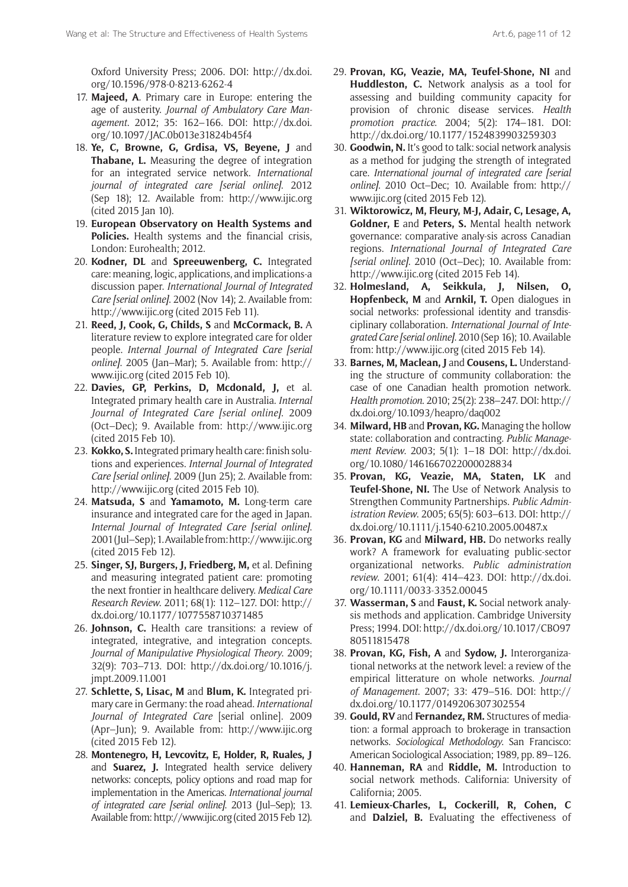Oxford University Press; 2006. DOI: [http://dx.doi.](http://dx.doi.org/10.1596/978-0-8213-6262-4) [org/10.1596/978-0-8213-6262-4](http://dx.doi.org/10.1596/978-0-8213-6262-4)

- 17. **Majeed, A**. Primary care in Europe: entering the age of austerity. *Journal of Ambulatory Care Management*. 2012; 35: 162–166. DOI: [http://dx.doi.](http://dx.doi.org/10.1097/JAC.0b013e31824b45f4) [org/10.1097/JAC.0b013e31824b45f4](http://dx.doi.org/10.1097/JAC.0b013e31824b45f4)
- 18. **Ye, C, Browne, G, Grdisa, VS, Beyene, J** and **Thabane, L.** Measuring the degree of integration for an integrated service network. *International journal of integrated care [serial online]*. 2012 (Sep 18); 12. Available from: <http://www.ijic.org> (cited 2015 Jan 10).
- 19. **European Observatory on Health Systems and Policies.** Health systems and the financial crisis, London: Eurohealth; 2012.
- 20. **Kodner, DL** and **Spreeuwenberg, C.** Integrated care: meaning, logic, applications, and implications-a discussion paper. *International Journal of Integrated Care [serial online]*. 2002 (Nov 14); 2. Available from: <http://www.ijic.org> (cited 2015 Feb 11).
- 21. **Reed, J, Cook, G, Childs, S** and **McCormack, B.** A literature review to explore integrated care for older people. *Internal Journal of Integrated Care [serial online]*. 2005 (Jan–Mar); 5. Available from: [http://](http://www.ijic.org) [www.ijic.org](http://www.ijic.org) (cited 2015 Feb 10).
- 22. **Davies, GP, Perkins, D, Mcdonald, J,** et al. Integrated primary health care in Australia. *Internal Journal of Integrated Care [serial online]*. 2009 (Oct–Dec); 9. Available from: <http://www.ijic.org> (cited 2015 Feb 10).
- 23. **Kokko, S.** Integrated primary health care: finish solutions and experiences. *Internal Journal of Integrated Care [serial online]*. 2009 (Jun 25); 2. Available from: <http://www.ijic.org> (cited 2015 Feb 10).
- 24. **Matsuda, S** and **Yamamoto, M.** Long-term care insurance and integrated care for the aged in Japan. *Internal Journal of Integrated Care [serial online]*. 2001 (Jul–Sep); 1. Available from:<http://www.ijic.org> (cited 2015 Feb 12).
- 25. **Singer, SJ, Burgers, J, Friedberg, M,** et al. Defining and measuring integrated patient care: promoting the next frontier in healthcare delivery. *Medical Care Research Review*. 2011; 68(1): 112–127. DOI: [http://](http://dx.doi.org/10.1177/1077558710371485) [dx.doi.org/10.1177/1077558710371485](http://dx.doi.org/10.1177/1077558710371485)
- 26. **Johnson, C.** Health care transitions: a review of integrated, integrative, and integration concepts. *Journal of Manipulative Physiological Theory*. 2009; 32(9): 703–713. DOI: [http://dx.doi.org/10.1016/j.](http://dx.doi.org/10.1016/j.jmpt.2009.11.001) [jmpt.2009.11.001](http://dx.doi.org/10.1016/j.jmpt.2009.11.001)
- 27. **Schlette, S, Lisac, M** and **Blum, K.** Integrated primary care in Germany: the road ahead. *International Journal of Integrated Care* [serial online]. 2009 (Apr–Jun); 9. Available from: <http://www.ijic.org> (cited 2015 Feb 12).
- 28. **Montenegro, H, Levcovitz, E, Holder, R, Ruales, J** and **Suarez, J.** Integrated health service delivery networks: concepts, policy options and road map for implementation in the Americas. *International journal of integrated care [serial online]*. 2013 (Jul–Sep); 13. Available from:<http://www.ijic.org>(cited 2015 Feb 12).
- 29. **Provan, KG, Veazie, MA, Teufel-Shone, NI** and **Huddleston, C.** Network analysis as a tool for assessing and building community capacity for provision of chronic disease services. *Health promotion practice*. 2004; 5(2): 174–181. DOI: <http://dx.doi.org/10.1177/1524839903259303>
- 30. **Goodwin, N.** It's good to talk: social network analysis as a method for judging the strength of integrated care. *International journal of integrated care [serial online]*. 2010 Oct–Dec; 10. Available from: [http://](http://www.ijic.org) [www.ijic.org](http://www.ijic.org) (cited 2015 Feb 12).
- 31. **Wiktorowicz, M, Fleury, M-J, Adair, C, Lesage, A, Goldner, E** and **Peters, S.** Mental health network governance: comparative analy-sis across Canadian regions. *International Journal of Integrated Care [serial online]*. 2010 (Oct–Dec); 10. Available from: <http://www.ijic.org>(cited 2015 Feb 14).
- 32. **Holmesland, A, Seikkula, J, Nilsen, O, Hopfenbeck, M** and **Arnkil, T.** Open dialogues in social networks: professional identity and transdisciplinary collaboration. *International Journal of Integrated Care [serial online]*. 2010 (Sep 16); 10. Available from:<http://www.ijic.org>(cited 2015 Feb 14).
- 33. **Barnes, M, Maclean, J** and **Cousens, L.** Understanding the structure of community collaboration: the case of one Canadian health promotion network. *Health promotion*. 2010; 25(2): 238–247. DOI: [http://](http://dx.doi.org/10.1093/heapro/daq002) [dx.doi.org/10.1093/heapro/daq002](http://dx.doi.org/10.1093/heapro/daq002)
- 34. **Milward, HB** and **Provan, KG.** Managing the hollow state: collaboration and contracting. *Public Management Review*. 2003; 5(1): 1–18 DOI: [http://dx.doi.](http://dx.doi.org/10.1080/1461667022000028834) [org/10.1080/1461667022000028834](http://dx.doi.org/10.1080/1461667022000028834)
- 35. **Provan, KG, Veazie, MA, Staten, LK** and **Teufel-Shone, NI.** The Use of Network Analysis to Strengthen Community Partnerships. *Public Administration Review*. 2005; 65(5): 603–613. DOI: [http://](http://dx.doi.org/10.1111/j.1540-6210.2005.00487.x) [dx.doi.org/10.1111/j.1540-6210.2005.00487.x](http://dx.doi.org/10.1111/j.1540-6210.2005.00487.x)
- 36. **Provan, KG** and **Milward, HB.** Do networks really work? A framework for evaluating public-sector organizational networks. *Public administration review*. 2001; 61(4): 414–423. DOI: [http://dx.doi.](http://dx.doi.org/10.1111/0033-3352.00045) [org/10.1111/0033-3352.00045](http://dx.doi.org/10.1111/0033-3352.00045)
- 37. **Wasserman, S** and **Faust, K.** Social network analysis methods and application. Cambridge University Press; 1994. DOI: [http://dx.doi.org/10.1017/CBO97](http://dx.doi.org/10.1017/CBO9780511815478) [80511815478](http://dx.doi.org/10.1017/CBO9780511815478)
- 38. **Provan, KG, Fish, A** and **Sydow, J.** Interorganizational networks at the network level: a review of the empirical litterature on whole networks. *Journal of Management*. 2007; 33: 479–516. DOI: [http://](http://dx.doi.org/10.1177/0149206307302554) [dx.doi.org/10.1177/0149206307302554](http://dx.doi.org/10.1177/0149206307302554)
- 39. **Gould, RV** and **Fernandez, RM.** Structures of mediation: a formal approach to brokerage in transaction networks. *Sociological Methodology*. San Francisco: American Sociological Association; 1989, pp. 89–126.
- 40. **Hanneman, RA** and **Riddle, M.** Introduction to social network methods. California: University of California; 2005.
- 41. **Lemieux-Charles, L, Cockerill, R, Cohen, C** and **Dalziel, B.** Evaluating the effectiveness of